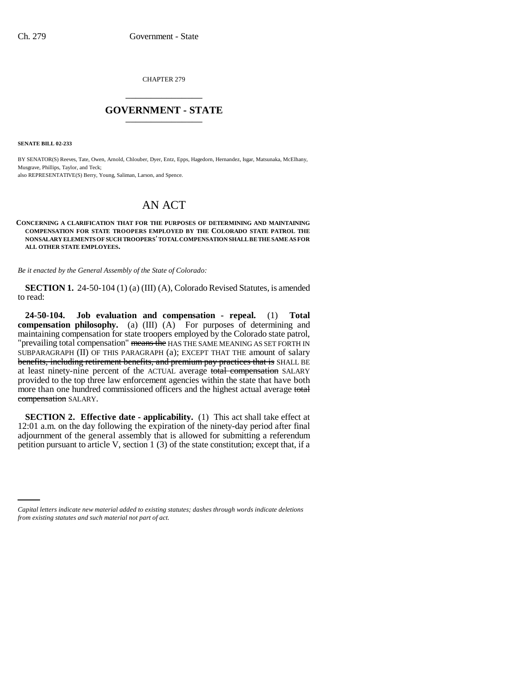CHAPTER 279 \_\_\_\_\_\_\_\_\_\_\_\_\_\_\_

## **GOVERNMENT - STATE** \_\_\_\_\_\_\_\_\_\_\_\_\_\_\_

**SENATE BILL 02-233**

BY SENATOR(S) Reeves, Tate, Owen, Arnold, Chlouber, Dyer, Entz, Epps, Hagedorn, Hernandez, Isgar, Matsunaka, McElhany, Musgrave, Phillips, Taylor, and Teck; also REPRESENTATIVE(S) Berry, Young, Saliman, Larson, and Spence.

## AN ACT

## **CONCERNING A CLARIFICATION THAT FOR THE PURPOSES OF DETERMINING AND MAINTAINING COMPENSATION FOR STATE TROOPERS EMPLOYED BY THE COLORADO STATE PATROL THE NONSALARY ELEMENTS OF SUCH TROOPERS' TOTAL COMPENSATION SHALL BE THE SAME AS FOR ALL OTHER STATE EMPLOYEES.**

*Be it enacted by the General Assembly of the State of Colorado:*

**SECTION 1.** 24-50-104 (1) (a) (III) (A), Colorado Revised Statutes, is amended to read:

**24-50-104. Job evaluation and compensation - repeal.** (1) **Total compensation philosophy.** (a) (III) (A) For purposes of determining and maintaining compensation for state troopers employed by the Colorado state patrol, "prevailing total compensation" means the HAS THE SAME MEANING AS SET FORTH IN SUBPARAGRAPH (II) OF THIS PARAGRAPH (a); EXCEPT THAT THE amount of salary benefits, including retirement benefits, and premium pay practices that is SHALL BE at least ninety-nine percent of the ACTUAL average total compensation SALARY provided to the top three law enforcement agencies within the state that have both more than one hundred commissioned officers and the highest actual average total compensation SALARY.

**SECTION 2. Effective date - applicability.** (1) This act shall take effect at 12:01 a.m. on the day following the expiration of the ninety-day period after final adjournment of the general assembly that is allowed for submitting a referendum petition pursuant to article V, section 1 (3) of the state constitution; except that, if a

*Capital letters indicate new material added to existing statutes; dashes through words indicate deletions from existing statutes and such material not part of act.*